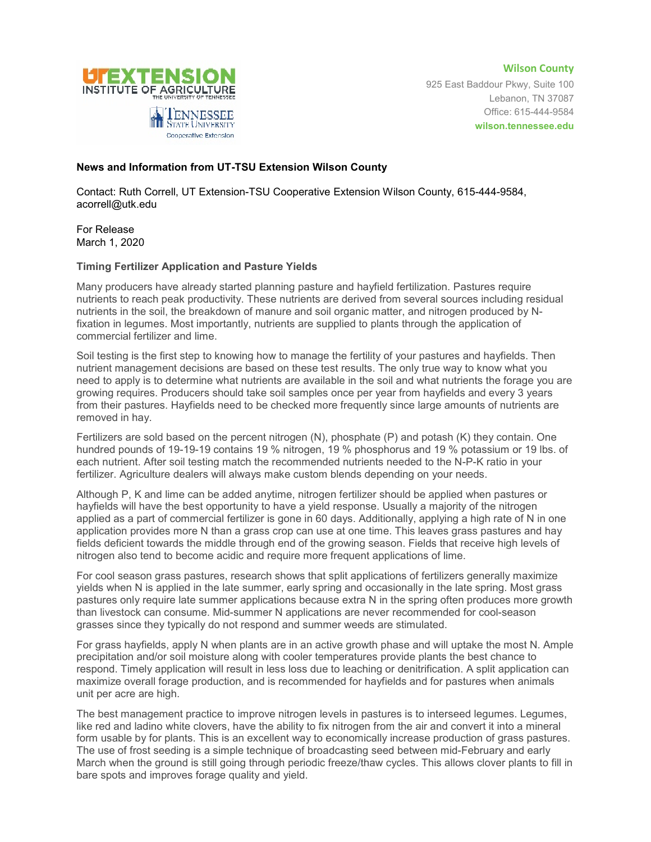



925 East Baddour Pkwy, Suite 100 Lebanon, TN 37087 Office: 615-444-9584 **wilson.tennessee.edu**

## **News and Information from UT-TSU Extension Wilson County**

Contact: Ruth Correll, UT Extension-TSU Cooperative Extension Wilson County, 615-444-9584, acorrell@utk.edu

For Release March 1, 2020

## **Timing Fertilizer Application and Pasture Yields**

Many producers have already started planning pasture and hayfield fertilization. Pastures require nutrients to reach peak productivity. These nutrients are derived from several sources including residual nutrients in the soil, the breakdown of manure and soil organic matter, and nitrogen produced by Nfixation in legumes. Most importantly, nutrients are supplied to plants through the application of commercial fertilizer and lime.

Soil testing is the first step to knowing how to manage the fertility of your pastures and hayfields. Then nutrient management decisions are based on these test results. The only true way to know what you need to apply is to determine what nutrients are available in the soil and what nutrients the forage you are growing requires. Producers should take soil samples once per year from hayfields and every 3 years from their pastures. Hayfields need to be checked more frequently since large amounts of nutrients are removed in hay.

Fertilizers are sold based on the percent nitrogen (N), phosphate (P) and potash (K) they contain. One hundred pounds of 19-19-19 contains 19 % nitrogen, 19 % phosphorus and 19 % potassium or 19 lbs. of each nutrient. After soil testing match the recommended nutrients needed to the N-P-K ratio in your fertilizer. Agriculture dealers will always make custom blends depending on your needs.

Although P, K and lime can be added anytime, nitrogen fertilizer should be applied when pastures or hayfields will have the best opportunity to have a yield response. Usually a majority of the nitrogen applied as a part of commercial fertilizer is gone in 60 days. Additionally, applying a high rate of N in one application provides more N than a grass crop can use at one time. This leaves grass pastures and hay fields deficient towards the middle through end of the growing season. Fields that receive high levels of nitrogen also tend to become acidic and require more frequent applications of lime.

For cool season grass pastures, research shows that split applications of fertilizers generally maximize yields when N is applied in the late summer, early spring and occasionally in the late spring. Most grass pastures only require late summer applications because extra N in the spring often produces more growth than livestock can consume. Mid-summer N applications are never recommended for cool-season grasses since they typically do not respond and summer weeds are stimulated.

For grass hayfields, apply N when plants are in an active growth phase and will uptake the most N. Ample precipitation and/or soil moisture along with cooler temperatures provide plants the best chance to respond. Timely application will result in less loss due to leaching or denitrification. A split application can maximize overall forage production, and is recommended for hayfields and for pastures when animals unit per acre are high.

The best management practice to improve nitrogen levels in pastures is to interseed legumes. Legumes, like red and ladino white clovers, have the ability to fix nitrogen from the air and convert it into a mineral form usable by for plants. This is an excellent way to economically increase production of grass pastures. The use of frost seeding is a simple technique of broadcasting seed between mid-February and early March when the ground is still going through periodic freeze/thaw cycles. This allows clover plants to fill in bare spots and improves forage quality and yield.